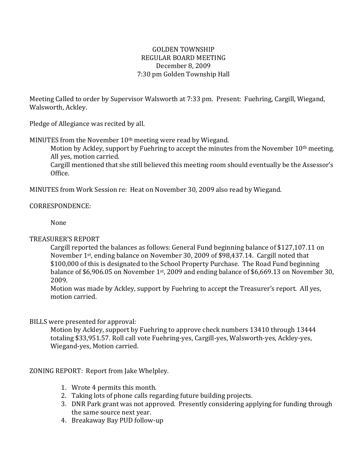## GOLDEN TOWNSHIP REGULAR BOARD MEETING December 8, 2009 7:30 pm Golden Township Hall

Meeting Called to order by Supervisor Walsworth at 7:33 pm. Present: Fuehring, Cargill, Wiegand, Walsworth, Ackley.

Pledge of Allegiance was recited by all.

MINUTES from the November  $10<sup>th</sup>$  meeting were read by Wiegand.

Motion by Ackley, support by Fuehring to accept the minutes from the November 10<sup>th</sup> meeting. All yes, motion carried.

Cargill mentioned that she still believed this meeting room should eventually be the Assessor's Office.

MINUTES from Work Session re: Heat on November 30, 2009 also read by Wiegand.

## CORRESPONDENCE:

None

# TREASURER'S REPORT

Cargill reported the balances as follows: General Fund beginning balance of \$127,107.11 on November 1st, ending balance on November 30, 2009 of \$98,437.14. Cargill noted that \$100,000 of this is designated to the School Property Purchase. The Road Fund beginning balance of \$6,906.05 on November 1<sup>st</sup>, 2009 and ending balance of \$6,669.13 on November 30, 2009.

Motion was made by Ackley, support by Fuehring to accept the Treasurer's report. All yes, motion carried.

# BILLS were presented for approval:

Motion by Ackley, support by Fuehring to approve check numbers 13410 through 13444 totaling \$33,951.57. Roll call vote Fuehring-yes, Cargill-yes, Walsworth-yes, Ackley-yes, Wiegand-yes, Motion carried.

# ZONING REPORT: Report from Jake Whelpley.

- 1. Wrote 4 permits this month.
- 2. Taking lots of phone calls regarding future building projects.
- 3. DNR Park grant was not approved. Presently considering applying for funding through the same source next year.
- 4. Breakaway Bay PUD follow-up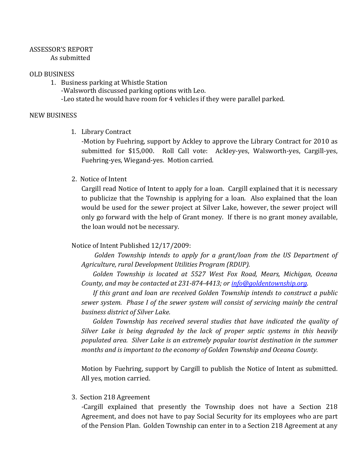#### ASSESSOR'S REPORT As submitted

## OLD BUSINESS

1. Business parking at Whistle Station -Walsworth discussed parking options with Leo. -Leo stated he would have room for 4 vehicles if they were parallel parked.

## NEW BUSINESS

1. Library Contract

-Motion by Fuehring, support by Ackley to approve the Library Contract for 2010 as submitted for \$15,000. Roll Call vote: Ackley-yes, Walsworth-yes, Cargill-yes, Fuehring-yes, Wiegand-yes. Motion carried.

2. Notice of Intent

Cargill read Notice of Intent to apply for a loan. Cargill explained that it is necessary to publicize that the Township is applying for a loan. Also explained that the loan would be used for the sewer project at Silver Lake, however, the sewer project will only go forward with the help of Grant money. If there is no grant money available, the loan would not be necessary.

## Notice of Intent Published 12/17/2009:

*Golden Township intends to apply for a grant/loan from the US Department of Agriculture, rural Development Utilities Program (RDUP).*

*Golden Township is located at 5527 West Fox Road, Mears, Michigan, Oceana County, and may be contacted at 231-874-4413; o[r info@goldentownship.org.](mailto:info@goldentownship.org)*

*If this grant and loan are received Golden Township intends to construct a public sewer system. Phase I of the sewer system will consist of servicing mainly the central business district of Silver Lake.*

*Golden Township has received several studies that have indicated the quality of Silver Lake is being degraded by the lack of proper septic systems in this heavily populated area. Silver Lake is an extremely popular tourist destination in the summer months and is important to the economy of Golden Township and Oceana County.*

Motion by Fuehring, support by Cargill to publish the Notice of Intent as submitted. All yes, motion carried.

3. Section 218 Agreement

-Cargill explained that presently the Township does not have a Section 218 Agreement, and does not have to pay Social Security for its employees who are part of the Pension Plan. Golden Township can enter in to a Section 218 Agreement at any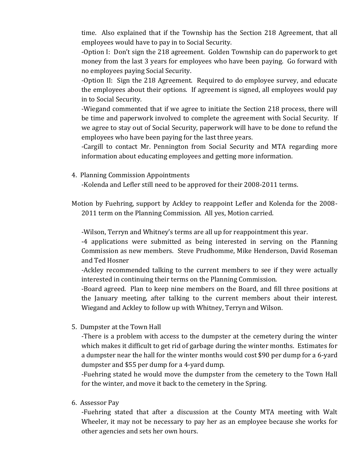time. Also explained that if the Township has the Section 218 Agreement, that all employees would have to pay in to Social Security.

-Option I: Don't sign the 218 agreement. Golden Township can do paperwork to get money from the last 3 years for employees who have been paying. Go forward with no employees paying Social Security.

-Option II: Sign the 218 Agreement. Required to do employee survey, and educate the employees about their options. If agreement is signed, all employees would pay in to Social Security.

-Wiegand commented that if we agree to initiate the Section 218 process, there will be time and paperwork involved to complete the agreement with Social Security. If we agree to stay out of Social Security, paperwork will have to be done to refund the employees who have been paying for the last three years.

-Cargill to contact Mr. Pennington from Social Security and MTA regarding more information about educating employees and getting more information.

4. Planning Commission Appointments

-Kolenda and Lefler still need to be approved for their 2008-2011 terms.

Motion by Fuehring, support by Ackley to reappoint Lefler and Kolenda for the 2008- 2011 term on the Planning Commission. All yes, Motion carried.

-Wilson, Terryn and Whitney's terms are all up for reappointment this year.

-4 applications were submitted as being interested in serving on the Planning Commission as new members. Steve Prudhomme, Mike Henderson, David Roseman and Ted Hosner

-Ackley recommended talking to the current members to see if they were actually interested in continuing their terms on the Planning Commission.

-Board agreed. Plan to keep nine members on the Board, and fill three positions at the January meeting, after talking to the current members about their interest. Wiegand and Ackley to follow up with Whitney, Terryn and Wilson.

5. Dumpster at the Town Hall

-There is a problem with access to the dumpster at the cemetery during the winter which makes it difficult to get rid of garbage during the winter months. Estimates for a dumpster near the hall for the winter months would cost \$90 per dump for a 6-yard dumpster and \$55 per dump for a 4-yard dump.

-Fuehring stated he would move the dumpster from the cemetery to the Town Hall for the winter, and move it back to the cemetery in the Spring.

6. Assessor Pay

-Fuehring stated that after a discussion at the County MTA meeting with Walt Wheeler, it may not be necessary to pay her as an employee because she works for other agencies and sets her own hours.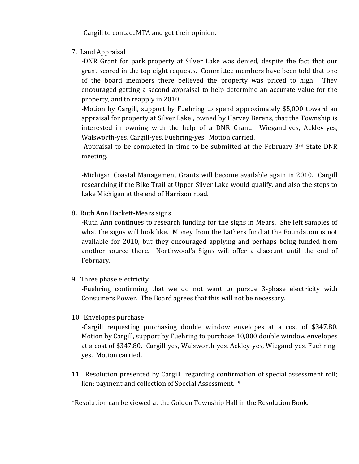-Cargill to contact MTA and get their opinion.

7. Land Appraisal

-DNR Grant for park property at Silver Lake was denied, despite the fact that our grant scored in the top eight requests. Committee members have been told that one of the board members there believed the property was priced to high. They encouraged getting a second appraisal to help determine an accurate value for the property, and to reapply in 2010.

-Motion by Cargill, support by Fuehring to spend approximately \$5,000 toward an appraisal for property at Silver Lake , owned by Harvey Berens, that the Township is interested in owning with the help of a DNR Grant. Wiegand-yes, Ackley-yes, Walsworth-yes, Cargill-yes, Fuehring-yes. Motion carried.

-Appraisal to be completed in time to be submitted at the February  $3<sup>rd</sup>$  State DNR meeting.

-Michigan Coastal Management Grants will become available again in 2010. Cargill researching if the Bike Trail at Upper Silver Lake would qualify, and also the steps to Lake Michigan at the end of Harrison road.

8. Ruth Ann Hackett-Mears signs

-Ruth Ann continues to research funding for the signs in Mears. She left samples of what the signs will look like. Money from the Lathers fund at the Foundation is not available for 2010, but they encouraged applying and perhaps being funded from another source there. Northwood's Signs will offer a discount until the end of February.

9. Three phase electricity

-Fuehring confirming that we do not want to pursue 3-phase electricity with Consumers Power. The Board agrees that this will not be necessary.

10. Envelopes purchase

-Cargill requesting purchasing double window envelopes at a cost of \$347.80. Motion by Cargill, support by Fuehring to purchase 10,000 double window envelopes at a cost of \$347.80. Cargill-yes, Walsworth-yes, Ackley-yes, Wiegand-yes, Fuehringyes. Motion carried.

11. Resolution presented by Cargill regarding confirmation of special assessment roll; lien; payment and collection of Special Assessment. \*

\*Resolution can be viewed at the Golden Township Hall in the Resolution Book.